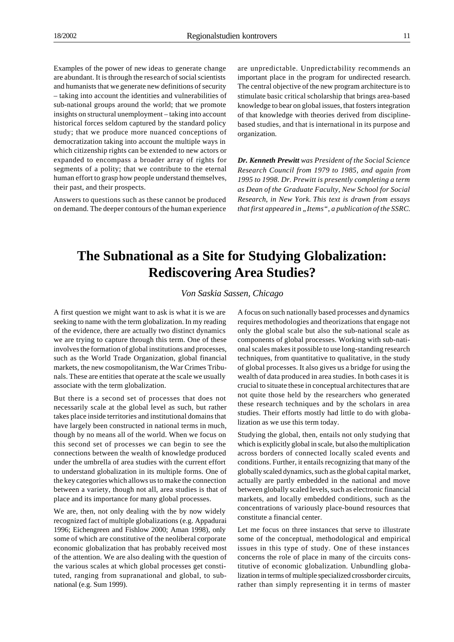## **The Subnational as a Site for Studying Globalization: Rediscovering Area Studies?**

*Von Saskia Sassen, Chicago*

A first question we might want to ask is what it is we are seeking to name with the term globalization. In my reading of the evidence, there are actually two distinct dynamics we are trying to capture through this term. One of these involves the formation of global institutions and processes, such as the World Trade Organization, global financial markets, the new cosmopolitanism, the War Crimes Tribunals. These are entities that operate at the scale we usually associate with the term globalization.

But there is a second set of processes that does not necessarily scale at the global level as such, but rather takes place inside territories and institutional domains that have largely been constructed in national terms in much, though by no means all of the world. When we focus on this second set of processes we can begin to see the connections between the wealth of knowledge produced under the umbrella of area studies with the current effort to understand globalization in its multiple forms. One of the key categories which allows us to make the connection between a variety, though not all, area studies is that of place and its importance for many global processes.

We are, then, not only dealing with the by now widely recognized fact of multiple globalizations (e.g. Appadurai 1996; Eichengreen and Fishlow 2000; Aman 1998), only some of which are constitutive of the neoliberal corporate economic globalization that has probably received most of the attention. We are also dealing with the question of the various scales at which global processes get constituted, ranging from supranational and global, to subnational (e.g. Sum 1999).

A focus on such nationally based processes and dynamics requires methodologies and theorizations that engage not only the global scale but also the sub-national scale as components of global processes. Working with sub-national scales makes it possible to use long-standing research techniques, from quantitative to qualitative, in the study of global processes. It also gives us a bridge for using the wealth of data produced in area studies. In both cases it is crucial to situate these in conceptual architectures that are not quite those held by the researchers who generated these research techniques and by the scholars in area studies. Their efforts mostly had little to do with globalization as we use this term today.

Studying the global, then, entails not only studying that which is explicitly global in scale, but also the multiplication across borders of connected locally scaled events and conditions. Further, it entails recognizing that many of the globally scaled dynamics, such as the global capital market, actually are partly embedded in the national and move between globally scaled levels, such as electronic financial markets, and locally embedded conditions, such as the concentrations of variously place-bound resources that constitute a financial center.

Let me focus on three instances that serve to illustrate some of the conceptual, methodological and empirical issues in this type of study. One of these instances concerns the role of place in many of the circuits constitutive of economic globalization. Unbundling globalization in terms of multiple specialized crossborder circuits, rather than simply representing it in terms of master